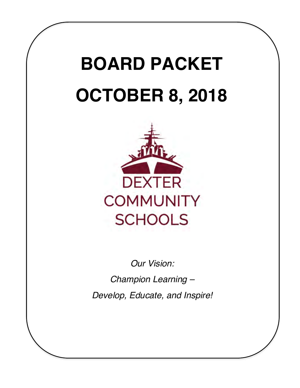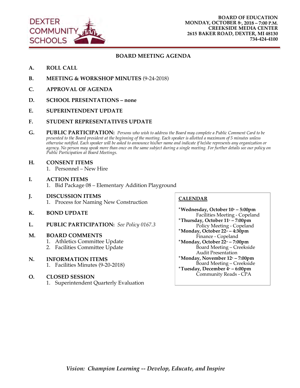

#### **BOARD MEETING AGENDA**

- **A. ROLL CALL**
- **B. MEETING & WORKSHOP MINUTES** (9-24-2018)
- **C. APPROVAL OF AGENDA**
- **D. SCHOOL PRESENTATIONS none**
- **E. SUPERINTENDENT UPDATE**
- **F. STUDENT REPRESENTATIVES UPDATE**
- **G. PUBLIC PARTICIPATION:** *Persons who wish to address the Board may complete a Public Comment Card to be presented to the Board president at the beginning of the meeting. Each speaker is allotted a maximum of 5 minutes unless otherwise notified. Each speaker will be asked to announce his/her name and indicate if he/she represents any organization or agency. No person may speak more than once on the same subject during a single meeting. For further details see our policy on Public Participation at Board Meetings.*
- **H. CONSENT ITEMS** 1. Personnel – New Hire
- **I. ACTION ITEMS** 1. Bid Package 08 – Elementary Addition Playground
- **J. DISCUSSION ITEMS**  1. Process for Naming New Construction
- **K. BOND UPDATE**
- **L. PUBLIC PARTICIPATION:** *See Policy 0167.3*

#### **M. BOARD COMMENTS**

- 1. Athletics Committee Update
- 2. Facilities Committee Update

#### **N. INFORMATION ITEMS**

1. Facilities Minutes (9-20-2018)

#### **O. CLOSED SESSION**

1. Superintendent Quarterly Evaluation

#### **CALENDAR**

\*Wednesday, October 10<sup>th</sup> – 5:00pm Facilities Meeting - Copeland **\*Thursday, October 11 - 7:00pm** Policy Meeting - Copeland **\*Monday, October 22nd – 4:30pm** Finance - Copeland **\*Monday, October 22nd – 7:00pm** Board Meeting – Creekside Audit Presentation \*Monday, November 12<sup>th</sup> – 7:00pm Board Meeting – Creekside \*Tuesday, December 4<sup>\*</sup> – 6:00pm Community Reads - CPA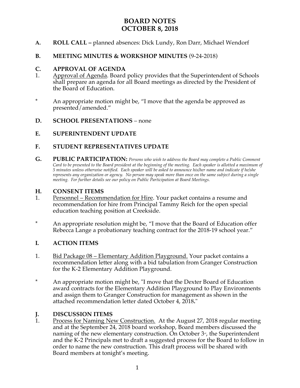# **BOARD NOTES OCTOBER 8, 2018**

- **A. ROLL CALL** planned absences: Dick Lundy, Ron Darr, Michael Wendorf
- **B. MEETING MINUTES & WORKSHOP MINUTES** (9-24-2018)

## **C. APPROVAL OF AGENDA**

- 1. Approval of Agenda. Board policy provides that the Superintendent of Schools shall prepare an agenda for all Board meetings as directed by the President of the Board of Education.
- \* An appropriate motion might be, "I move that the agenda be approved as presented/amended."
- **D. SCHOOL PRESENTATIONS** none
- **E. SUPERINTENDENT UPDATE**

# **F. STUDENT REPRESENTATIVES UPDATE**

**G. PUBLIC PARTICIPATION:** *Persons who wish to address the Board may complete a Public Comment Card to be presented to the Board president at the beginning of the meeting. Each speaker is allotted a maximum of 5 minutes unless otherwise notified. Each speaker will be asked to announce his/her name and indicate if he/she represents any organization or agency. No person may speak more than once on the same subject during a single meeting. For further details see our policy on Public Participation at Board Meetings.*

# **H. CONSENT ITEMS**

- 1. Personnel Recommendation for Hire. Your packet contains a resume and recommendation for hire from Principal Tammy Reich for the open special education teaching position at Creekside.
- \* An appropriate resolution might be, "I move that the Board of Education offer Rebecca Lange a probationary teaching contract for the 2018-19 school year."

### **I. ACTION ITEMS**

- 1. Bid Package 08 Elementary Addition Playground. Your packet contains a recommendation letter along with a bid tabulation from Granger Construction for the K-2 Elementary Addition Playground.
- \* An appropriate motion might be, "I move that the Dexter Board of Education award contracts for the Elementary Addition Playground to Play Environments and assign them to Granger Construction for management as shown in the attached recommendation letter dated October 4, 2018**.**"

# **J. DISCUSSION ITEMS**<br>1. **Process for Naming Ne**

Process for Naming New Construction. At the August 27, 2018 regular meeting and at the September 24, 2018 board workshop, Board members discussed the naming of the new elementary construction. On October  $3<sup>d</sup>$ , the Superintendent and the K-2 Principals met to draft a suggested process for the Board to follow in order to name the new construction. This draft process will be shared with Board members at tonight's meeting.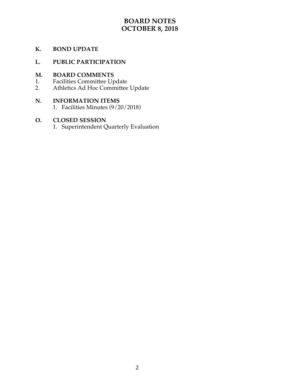# **BOARD NOTES OCTOBER 8, 2018**

# **K. BOND UPDATE**

# **L. PUBLIC PARTICIPATION**

# **M. BOARD COMMENTS** 1. **Facilities Committee Up**

- 1. Facilities Committee Update
- 2. Athletics Ad Hoc Committee Update

# **N. INFORMATION ITEMS**

1. Facilities Minutes (9/20/2018)

# **O. CLOSED SESSION**

1. Superintendent Quarterly Evaluation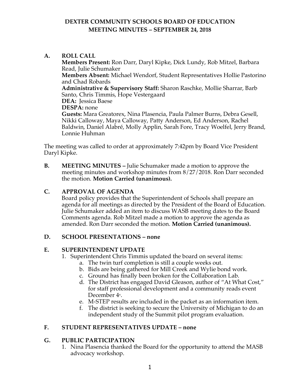# **DEXTER COMMUNITY SCHOOLS BOARD OF EDUCATION MEETING MINUTES – SEPTEMBER 24, 2018**

### **A. ROLL CALL**

**Members Present:** Ron Darr, Daryl Kipke, Dick Lundy, Rob Mitzel, Barbara Read, Julie Schumaker **Members Absent:** Michael Wendorf, Student Representatives Hollie Pastorino and Chad Robards **Administrative & Supervisory Staff:** Sharon Raschke, Mollie Sharrar, Barb Santo, Chris Timmis, Hope Vestergaard **DEA:** Jessica Baese **DESPA:** none **Guests:** Mara Greatorex, Nina Plasencia, Paula Palmer Burns, Debra Gesell, Nikki Calloway, Maya Calloway, Patty Anderson, Ed Anderson, Rachel Baldwin, Daniel Alabré, Molly Applin, Sarah Fore, Tracy Woelfel, Jerry Brand, Lonnie Huhman

The meeting was called to order at approximately 7:42pm by Board Vice President Daryl Kipke.

**B. MEETING MINUTES –** Julie Schumaker made a motion to approve the meeting minutes and workshop minutes from 8/27/2018. Ron Darr seconded the motion. **Motion Carried (unanimous).** 

### **C. APPROVAL OF AGENDA**

Board policy provides that the Superintendent of Schools shall prepare an agenda for all meetings as directed by the President of the Board of Education. Julie Schumaker added an item to discuss WASB meeting dates to the Board Comments agenda. Rob Mitzel made a motion to approve the agenda as amended. Ron Darr seconded the motion. **Motion Carried (unanimous).** 

### **D. SCHOOL PRESENTATIONS – none**

### **E. SUPERINTENDENT UPDATE**

- 1. Superintendent Chris Timmis updated the board on several items:
	- a. The twin turf completion is still a couple weeks out.
	- b. Bids are being gathered for Mill Creek and Wylie bond work.
	- c. Ground has finally been broken for the Collaboration Lab.
	- d. The District has engaged David Gleason, author of "At What Cost," for staff professional development and a community reads event December 4<sup>th</sup>.
	- e. M-STEP results are included in the packet as an information item.
	- f. The district is seeking to secure the University of Michigan to do an independent study of the Summit pilot program evaluation.

### **F. STUDENT REPRESENTATIVES UPDATE – none**

### **G. PUBLIC PARTICIPATION**

1. Nina Plasencia thanked the Board for the opportunity to attend the MASB advocacy workshop.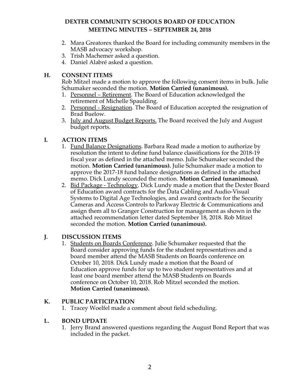# **DEXTER COMMUNITY SCHOOLS BOARD OF EDUCATION MEETING MINUTES – SEPTEMBER 24, 2018**

- 2. Mara Greatorex thanked the Board for including community members in the MASB advocacy workshop.
- 3. Trish Machemer asked a question.
- 4. Daniel Alabré asked a question.

# **H. CONSENT ITEMS**

Rob Mitzel made a motion to approve the following consent items in bulk. Julie Schumaker seconded the motion. **Motion Carried (unanimous).**

- 1. Personnel Retirement. The Board of Education acknowledged the retirement of Michelle Spaulding.
- 2. Personnel Resignation. The Board of Education accepted the resignation of Brad Buelow.
- 3. July and August Budget Reports. The Board received the July and August budget reports.

# **I. ACTION ITEMS**

- 1. Fund Balance Designations. Barbara Read made a motion to authorize by resolution the intent to define fund balance classifications for the 2018-19 fiscal year as defined in the attached memo. Julie Schumaker seconded the motion. **Motion Carried (unanimous).** Julie Schumaker made a motion to approve the 2017-18 fund balance designations as defined in the attached memo. Dick Lundy seconded the motion. **Motion Carried (unanimous).**
- 2. Bid Package Technology. Dick Lundy made a motion that the Dexter Board of Education award contracts for the Data Cabling and Audio-Visual Systems to Digital Age Technologies, and award contracts for the Security Cameras and Access Controls to Parkway Electric & Communications and assign them all to Granger Construction for management as shown in the attached recommendation letter dated September 18, 2018. Rob Mitzel seconded the motion. **Motion Carried (unanimous).**

# **J. DISCUSSION ITEMS**

1. Students on Boards Conference. Julie Schumaker requested that the Board consider approving funds for the student representatives and a board member attend the MASB Students on Boards conference on October 10, 2018. Dick Lundy made a motion that the Board of Education approve funds for up to two student representatives and at least one board member attend the MASB Students on Boards conference on October 10, 2018. Rob Mitzel seconded the motion. **Motion Carried (unanimous).**

# **K. PUBLIC PARTICIPATION**

1. Tracey Woelfel made a comment about field scheduling.

# **L. BOND UPDATE**

1. Jerry Brand answered questions regarding the August Bond Report that was included in the packet.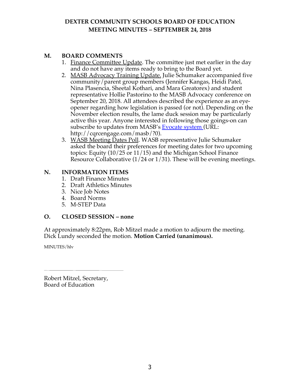# **DEXTER COMMUNITY SCHOOLS BOARD OF EDUCATION MEETING MINUTES – SEPTEMBER 24, 2018**

# **M. BOARD COMMENTS**

- 1. Finance Committee Update. The committee just met earlier in the day and do not have any items ready to bring to the Board yet.
- 2. MASB Advocacy Training Update. Julie Schumaker accompanied five community/parent group members (Jennifer Kangas, Heidi Patel, Nina Plasencia, Sheetal Kothari, and Mara Greatorex) and student representative Hollie Pastorino to the MASB Advocacy conference on September 20, 2018. All attendees described the experience as an eyeopener regarding how legislation is passed (or not). Depending on the November election results, the lame duck session may be particularly active this year. Anyone interested in following those goings-on can subscribe to updates from MASB's Evocate system (URL: http://cqrcengage.com/masb/?0).
- 3. WASB Meeting Dates Poll. WASB representative Julie Schumaker asked the board their preferences for meeting dates for two upcoming topics: Equity (10/25 or 11/15) and the Michigan School Finance Resource Collaborative (1/24 or 1/31). These will be evening meetings.

### **N. INFORMATION ITEMS**

- 1. Draft Finance Minutes
- 2. Draft Athletics Minutes
- 3. Nice Job Notes
- 4. Board Norms
- 5. M-STEP Data

### **O. CLOSED SESSION – none**

At approximately 8:22pm, Rob Mitzel made a motion to adjourn the meeting. Dick Lundy seconded the motion. **Motion Carried (unanimous).**

MINUTES/hlv

Robert Mitzel, Secretary, Board of Education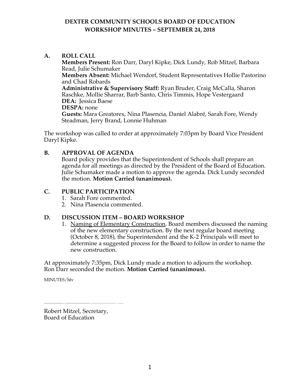# **DEXTER COMMUNITY SCHOOLS BOARD OF EDUCATION WORKSHOP MINUTES – SEPTEMBER 24, 2018**

**A. ROLL CALL Members Present:** Ron Darr, Daryl Kipke, Dick Lundy, Rob Mitzel, Barbara Read, Julie Schumaker **Members Absent:** Michael Wendorf, Student Representatives Hollie Pastorino and Chad Robards **Administrative & Supervisory Staff:** Ryan Bruder, Craig McCalla, Sharon Raschke, Mollie Sharrar, Barb Santo, Chris Timmis, Hope Vestergaard **DEA:** Jessica Baese **DESPA:** none **Guests:** Mara Greatorex, Nina Plasencia, Daniel Alabré, Sarah Fore, Wendy Steadman, Jerry Brand, Lonnie Huhman

The workshop was called to order at approximately 7:03pm by Board Vice President Daryl Kipke.

# **B. APPROVAL OF AGENDA**

Board policy provides that the Superintendent of Schools shall prepare an agenda for all meetings as directed by the President of the Board of Education. Julie Schumaker made a motion to approve the agenda. Dick Lundy seconded the motion. **Motion Carried (unanimous).** 

# **C. PUBLIC PARTICIPATION**

- 1. Sarah Fore commented.
- 2. Nina Plasencia commented.

### **D. DISCUSSION ITEM – BOARD WORKSHOP**

1. Naming of Elementary Construction. Board members discussed the naming of the new elementary construction. By the next regular board meeting (October 8, 2018), the Superintendent and the K-2 Principals will meet to determine a suggested process for the Board to follow in order to name the new construction.

At approximately 7:35pm, Dick Lundy made a motion to adjourn the workshop. Ron Darr seconded the motion. **Motion Carried (unanimous).**

MINUTES/hlv

Robert Mitzel, Secretary, Board of Education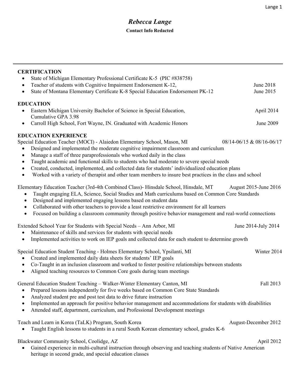| <b>CERTIFICATION</b><br>State of Michigan Elementary Professional Certificate K-5 (PIC #838758)<br>$\bullet$                                                                                                                                                                                                                                                                                                                                                                                                                                                                                                                                               |                           |
|------------------------------------------------------------------------------------------------------------------------------------------------------------------------------------------------------------------------------------------------------------------------------------------------------------------------------------------------------------------------------------------------------------------------------------------------------------------------------------------------------------------------------------------------------------------------------------------------------------------------------------------------------------|---------------------------|
| Teacher of students with Cognitive Impairment Endorsement K-12,<br>$\bullet$<br>State of Montana Elementary Certificate K-8 Special Education Endorsement PK-12<br>$\bullet$                                                                                                                                                                                                                                                                                                                                                                                                                                                                               | June 2018<br>June 2015    |
| <b>EDUCATION</b><br>Eastern Michigan University Bachelor of Science in Special Education,<br>$\bullet$<br>Cumulative GPA 3.98                                                                                                                                                                                                                                                                                                                                                                                                                                                                                                                              | April 2014                |
| Carroll High School, Fort Wayne, IN. Graduated with Academic Honors<br>$\bullet$                                                                                                                                                                                                                                                                                                                                                                                                                                                                                                                                                                           | June 2009                 |
| <b>EDUCATION EXPERIENCE</b><br>Special Education Teacher (MOCI) - Alaiedon Elementary School, Mason, MI<br>Designed and implemented the moderate cognitive impairment classroom and curriculum<br>$\bullet$<br>Manage a staff of three paraprofessionals who worked daily in the class<br>$\bullet$<br>Taught academic and functional skills to students who had moderate to severe special needs<br>$\bullet$<br>Created, conducted, implemented, and collected data for students' individualized education plans<br>$\bullet$<br>Worked with a variety of therapist and other team members to insure best practices in the class and school<br>$\bullet$ | 08/14-06/15 & 08/16-06/17 |
| Elementary Education Teacher (3rd-4th Combined Class)- Hinsdale School, Hinsdale, MT<br>Taught engaging ELA, Science, Social Studies and Math curriculums based on Common Core Standards<br>Designed and implemented engaging lessons based on student data<br>$\bullet$<br>Collaborated with other teachers to provide a least restrictive environment for all learners<br>$\bullet$<br>Focused on building a classroom community through positive behavior management and real-world connections<br>$\bullet$                                                                                                                                            | August 2015-June 2016     |
| Extended School Year for Students with Special Needs - Ann Arbor, MI<br>Maintenance of skills and services for students with special needs<br>Implemented activities to work on IEP goals and collected data for each student to determine growth<br>$\bullet$                                                                                                                                                                                                                                                                                                                                                                                             | June 2014-July 2014       |
| Special Education Student Teaching - Holmes Elementary School, Ypsilanti, MI<br>Created and implemented daily data sheets for students' IEP goals<br>٠<br>Co-Taught in an inclusion classroom and worked to foster positive relationships between students<br>$\bullet$<br>Aligned teaching resources to Common Core goals during team meetings<br>$\bullet$                                                                                                                                                                                                                                                                                               | Winter 2014               |
| General Education Student Teaching - Walker-Winter Elementary Canton, MI<br>Prepared lessons independently for five weeks based on Common Core State Standards<br>$\bullet$<br>Analyzed student pre and post test data to drive future instruction<br>Implemented an approach for positive behavior management and accommodations for students with disabilities<br>$\bullet$<br>Attended staff, department, curriculum, and Professional Development meetings<br>$\bullet$                                                                                                                                                                                | Fall 2013                 |
| Teach and Learn in Korea (TaLK) Program, South Korea<br>Taught English lessons to students in a rural South Korean elementary school, grades K-6                                                                                                                                                                                                                                                                                                                                                                                                                                                                                                           | August-December 2012      |
| Blackwater Community School, Coolidge, AZ<br>Gained experience in multi-cultural instruction through observing and teaching students of Native American<br>heritage in second grade, and special education classes                                                                                                                                                                                                                                                                                                                                                                                                                                         | April 2012                |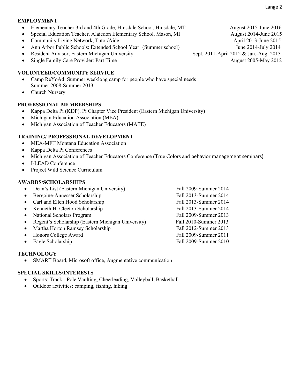#### **EMPLOYMENT**

- Elementary Teacher 3rd and 4th Grade, Hinsdale School, Hinsdale, MT August 2015-June 2016
- Special Education Teacher, Alaiedon Elementary School, Mason, MI August 2014-June 2015
- Community Living Network, Tutor/Aide April 2013-June 2015
- Ann Arbor Public Schools: Extended School Year (Summer school) June 2014-July 2014
- Resident Advisor, Eastern Michigan University Sept. 2011-April 2012 & Jan.-Aug. 2013
- Single Family Care Provider: Part Time August 2005-May 2012

### **VOLUNTEER/COMMUNITY SERVICE**

- Camp ReYoAd: Summer weeklong camp for people who have special needs Summer 2008-Summer 2013
- Church Nursery

### **PROFESSIONAL MEMBERSHIPS**

- Kappa Delta Pi (KDP), Pi Chapter Vice President (Eastern Michigan University)
- Michigan Education Association (MEA)
- Michigan Association of Teacher Educators (MATE)

### **TRAINING/ PROFESSIONAL DEVELOPMENT**

- MEA-MFT Montana Education Association
- Kappa Delta Pi Conferences
- Michigan Association of Teacher Educators Conference (True Colors and behavior management seminars)
- **I-LEAD Conference**
- Project Wild Science Curriculum

### **AWARDS/SCHOLARSHIPS**

- Dean's List (Eastern Michigan University) Fall 2009-Summer 2014
- Bergoine-Annesser Scholarship Fall 2013-Summer 2014
- Carl and Ellen Hood Scholarship Fall 2013-Summer 2014
- Kenneth H. Cleeton Scholarship Fall 2013-Summer 2014
- National Scholars Program Fall 2009-Summer 2013
- Regent's Scholarship (Eastern Michigan University) Fall 2010-Summer 2013
- Martha Horton Ramsey Scholarship Fall 2012-Summer 2013
- 
- Eagle Scholarship Fall 2009-Summer 2010

Honors College Award Fall 2009-Summer 2011

### **TECHNOLOGY**

SMART Board, Microsoft office, Augmentative communication

# **SPECIAL SKILLS/INTERESTS**

- Sports: Track Pole Vaulting, Cheerleading, Volleyball, Basketball
- Outdoor activities: camping, fishing, hiking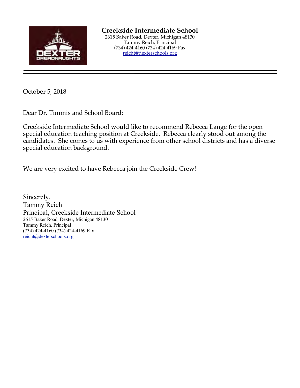

October 5, 2018

Dear Dr. Timmis and School Board:

Creekside Intermediate School would like to recommend Rebecca Lange for the open special education teaching position at Creekside. Rebecca clearly stood out among the candidates. She comes to us with experience from other school districts and has a diverse special education background.

We are very excited to have Rebecca join the Creekside Crew!

Sincerely, Tammy Reich Principal, Creekside Intermediate School 2615 Baker Road, Dexter, Michigan 48130 Tammy Reich, Principal (734) 424-4160 (734) 424-4169 Fax reicht@dexterschools.org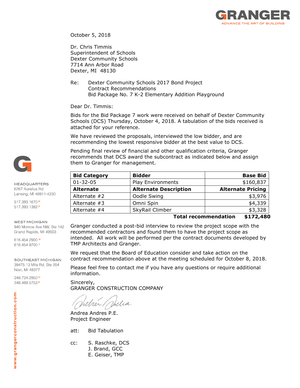

October 5, 2018

Dr. Chris Timmis Superintendent of Schools Dexter Community Schools 7714 Ann Arbor Road Dexter, MI 48130

Re: Dexter Community Schools 2017 Bond Project Contract Recommendations Bid Package No. 7 K-2 Elementary Addition Playground

Dear Dr. Timmis:

Bids for the Bid Package 7 work were received on behalf of Dexter Community Schools (DCS) Thursday, October 4, 2018. A tabulation of the bids received is attached for your reference.

We have reviewed the proposals, interviewed the low bidder, and are recommending the lowest responsive bidder at the best value to DCS.

Pending final review of financial and other qualification criteria, Granger recommends that DCS award the subcontract as indicated below and assign them to Granger for management.

| <b>Bidder</b>                | <b>Base Bid</b>          |
|------------------------------|--------------------------|
| Play Environments            | \$160,837                |
| <b>Alternate Description</b> | <b>Alternate Pricing</b> |
| Oodle Swing                  | \$3,976                  |
| Omni Spin                    | \$4,339                  |
| SkyRail Climber              | \$3,328                  |
|                              |                          |

#### **Total recommendation \$172,480**

Granger conducted a post-bid interview to review the project scope with the recommended contractors and found them to have the project scope as intended. All work will be performed per the contract documents developed by TMP Architects and Granger.

We request that the Board of Education consider and take action on the contract recommendation above at the meeting scheduled for October 8, 2018.

Please feel free to contact me if you have any questions or require additional information.

Sincerely, GRANGER CONSTRUCTION COMPANY

uni.

Andrea Andres P.E. Project Engineer

att: Bid Tabulation

cc: S. Raschke, DCS J. Brand, GCC

E. Geiser, TMP



**HEADQUARTERS** 6267 Aurelius Rd Lansing, MI 48911-4230

517.393.1670P 517.393.1382F

#### **WEST MICHIGAN**

940 Monroe Ave NW, Ste 142 Grand Rapids, MI 49503

616.454.2900 P 616.454.9700F

SOUTHEAST MICHIGAN 39475 13 Mile Rd, Ste 204 Novi, MI 48377

248.724.2950P 248.489.5753F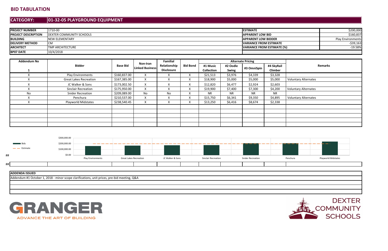# **BID TABULATION**

#### **CATEGORY:01-32-05 PLAYGROUND EQUIPMENT**

| <b>PROJECT NUMBER</b>      | 11710-00                        | <b>IESTIMATE</b>               | \$200,000                |
|----------------------------|---------------------------------|--------------------------------|--------------------------|
| <b>PROJECT DESCRIPTION</b> | <b>DEXTER COMMUNITY SCHOOLS</b> | <b>IAPPARENT LOW BID</b>       | \$160,837                |
| <b>BUILDING</b>            | <b>INEW ELEMENTARY</b>          | <b>IAPPARENT LOW BIDDER</b>    | <b>Play Environments</b> |
| <b>DELIVERY METHOD</b>     | ICM                             | <b>IVARIANCE FROM ESTIMATE</b> | $-539,163$               |
| <b>ARCHITECT</b>           | <b>TMP ARCHITECTURE</b>         | VARIANCE FROM ESTIMATE (%)     | $-19.58%$                |
| <b>BP07 DATE</b>           | 10/4/2018                       |                                |                          |

| <b>Addendum No</b> |                               |                 | <b>Familial</b>                    |                                   |                 | <b>Alternate Pricing</b> |           |             |                |                             |
|--------------------|-------------------------------|-----------------|------------------------------------|-----------------------------------|-----------------|--------------------------|-----------|-------------|----------------|-----------------------------|
|                    | <b>Bidder</b>                 | <b>Base Bid</b> | Non-Iran<br><b>Linked Business</b> | Relationship<br><b>Disclosure</b> | <b>Bid Bond</b> | #1 Music                 | #2 Oodle  | #3 OmniSpin | #4 SkyRail     | <b>Remarks</b>              |
|                    |                               |                 |                                    |                                   |                 | <b>Collection</b>        | Swing     |             | <b>Climber</b> |                             |
|                    | <b>Play Environments</b>      | \$160,837.00    |                                    |                                   | X               | \$21,513                 | \$3,976   | \$4,339     | \$3,328        |                             |
|                    | <b>Great Lakes Recreation</b> | \$167,385.00    | X                                  |                                   | X               | \$18,900                 | \$5,000   | \$5,000     | \$5,000        | <b>Voluntary Alternates</b> |
|                    | JC Walker & Sons              | \$173,002.50    | $\overline{ }$<br>$\mathbf{A}$     |                                   | X               | \$12,820                 | \$6,477   | \$2,924     | \$2,603        |                             |
|                    | <b>Sinclair Recreation</b>    | \$175,950.00    | $\lambda$                          |                                   | X               | \$19,900                 | \$7,400   | \$7,300     | \$4,200        | <b>Voluntary Alternates</b> |
| No.                | <b>Snider Recreation</b>      | \$209,089.00    | No.                                | No.                               | X.              | <b>NR</b>                | <b>NR</b> | <b>NR</b>   | <b>NR</b>      |                             |
|                    | Penchura                      | \$210,537.00    |                                    |                                   | X.              | \$15,750                 | \$6,341   | \$9,350     | \$4,895        | <b>Voluntary Alternates</b> |
|                    | <b>Playworld Midstates</b>    | \$238,540.45    | X                                  |                                   | X               | \$13,250                 | \$6,416   | \$8,674     | \$2,338        |                             |
|                    |                               |                 |                                    |                                   |                 |                          |           |             |                |                             |
|                    |                               |                 |                                    |                                   |                 |                          |           |             |                |                             |
|                    |                               |                 |                                    |                                   |                 |                          |           |             |                |                             |
|                    |                               |                 |                                    |                                   |                 |                          |           |             |                |                             |
|                    |                               |                 |                                    |                                   |                 |                          |           |             |                |                             |





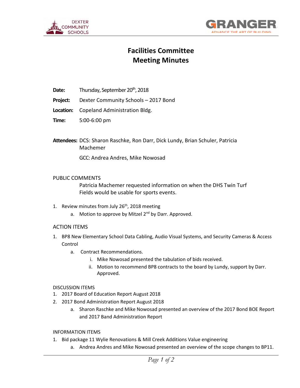



# **Facilities Committee Meeting Minutes**

- **Date:** Thursday, September 20<sup>th</sup>, 2018
- **Project:** Dexter Community Schools 2017 Bond
- **Location:** Copeland Administration Bldg.
- **Time:** 5:00-6:00 pm

**Attendees:** DCS: Sharon Raschke, Ron Darr, Dick Lundy, Brian Schuler, Patricia Machemer

GCC: Andrea Andres, Mike Nowosad

#### PUBLIC COMMENTS

 Patricia Machemer requested information on when the DHS Twin Turf Fields would be usable for sports events.

- 1. Review minutes from July 26<sup>th</sup>, 2018 meeting
	- a. Motion to approve by Mitzel 2<sup>nd</sup> by Darr. Approved.

#### ACTION ITEMS

- 1. BP8 New Elementary School Data Cabling, Audio Visual Systems, and Security Cameras & Access Control
	- a. Contract Recommendations.
		- i. Mike Nowosad presented the tabulation of bids received.
		- ii. Motion to recommend BP8 contracts to the board by Lundy, support by Darr. Approved.

#### DISCUSSION ITEMS

- 1. 2017 Board of Education Report August 2018
- 2. 2017 Bond Administration Report August 2018
	- a. Sharon Raschke and Mike Nowosad presented an overview of the 2017 Bond BOE Report and 2017 Band Administration Report

#### INFORMATION ITEMS

- 1. Bid package 11 Wylie Renovations & Mill Creek Additions Value engineering
	- a. Andrea Andres and Mike Nowosad presented an overview of the scope changes to BP11.